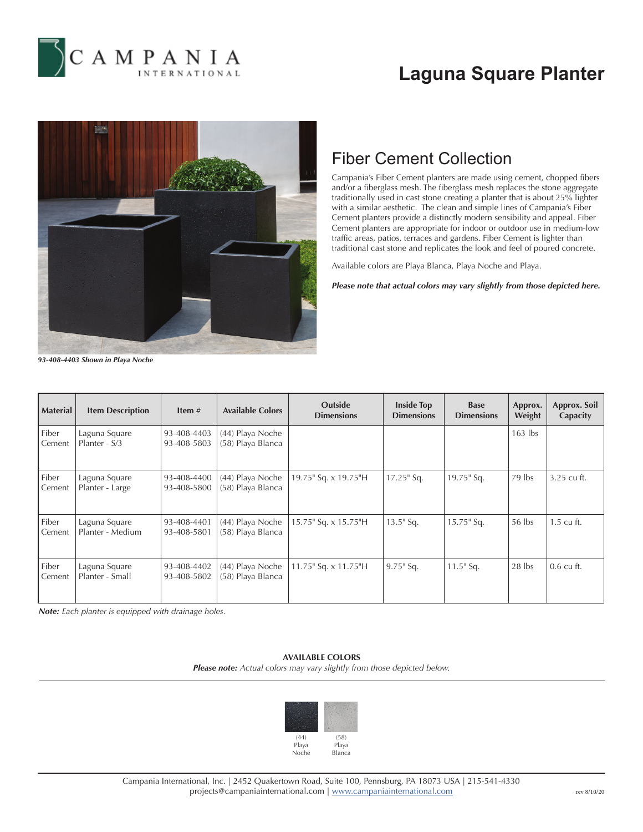

# **Laguna Square Planter**



### Fiber Cement Collection

Campania's Fiber Cement planters are made using cement, chopped fibers and/or a fiberglass mesh. The fiberglass mesh replaces the stone aggregate traditionally used in cast stone creating a planter that is about 25% lighter with a similar aesthetic. The clean and simple lines of Campania's Fiber Cement planters provide a distinctly modern sensibility and appeal. Fiber Cement planters are appropriate for indoor or outdoor use in medium-low traffic areas, patios, terraces and gardens. Fiber Cement is lighter than traditional cast stone and replicates the look and feel of poured concrete.

Available colors are Playa Blanca, Playa Noche and Playa.

*Please note that actual colors may vary slightly from those depicted here.*

*93-408-4403 Shown in Playa Noche*

| <b>Material</b> | <b>Item Description</b>           | Item $#$                   | <b>Available Colors</b>               | <b>Outside</b><br><b>Dimensions</b> | <b>Inside Top</b><br><b>Dimensions</b> | <b>Base</b><br><b>Dimensions</b> | Approx.<br>Weight | Approx. Soil<br>Capacity |
|-----------------|-----------------------------------|----------------------------|---------------------------------------|-------------------------------------|----------------------------------------|----------------------------------|-------------------|--------------------------|
| Fiber<br>Cement | Laguna Square<br>Planter - S/3    | 93-408-4403<br>93-408-5803 | (44) Playa Noche<br>(58) Playa Blanca |                                     |                                        |                                  | $163$ lbs         |                          |
| Fiber<br>Cement | Laguna Square<br>Planter - Large  | 93-408-4400<br>93-408-5800 | (44) Playa Noche<br>(58) Playa Blanca | 19.75" Sq. x 19.75"H                | $17.25$ " Sq.                          | $19.75$ " Sq.                    | 79 lbs            | 3.25 cu ft.              |
| Fiber<br>Cement | Laguna Square<br>Planter - Medium | 93-408-4401<br>93-408-5801 | (44) Playa Noche<br>(58) Playa Blanca | 15.75" Sq. x 15.75"H                | $13.5$ " Sq.                           | $15.75$ " Sq.                    | 56 lbs            | 1.5 cu ft.               |
| Fiber<br>Cement | Laguna Square<br>Planter - Small  | 93-408-4402<br>93-408-5802 | (44) Playa Noche<br>(58) Playa Blanca | $11.75$ " Sq. x $11.75$ "H          | $9.75$ " Sq.                           | $11.5$ " Sq.                     | $28$ lbs          | $0.6$ cu ft.             |

*Note: Each planter is equipped with drainage holes.*

### **AVAILABLE COLORS**

*Please note: Actual colors may vary slightly from those depicted below.*